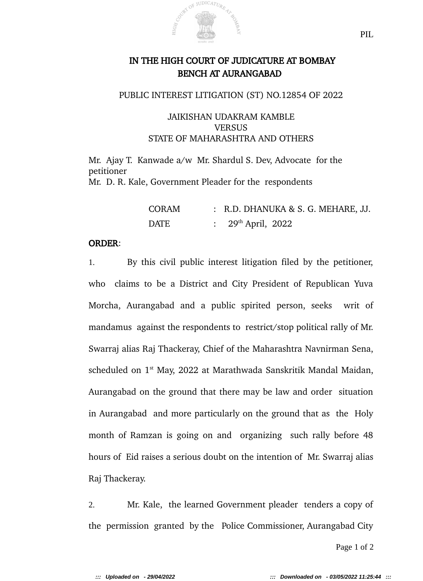

# IN THE HIGH COURT OF JUDICATURE AT BOMBAY BENCH AT AURANGABAD

### PUBLIC INTEREST LITIGATION (ST) NO.12854 OF 2022

# JAIKISHAN UDAKRAM KAMBLE **VERSUS** STATE OF MAHARASHTRA AND OTHERS

Mr. Ajay T. Kanwade a/w Mr. Shardul S. Dev, Advocate for the petitioner

Mr. D. R. Kale, Government Pleader for the respondents

| <b>CORAM</b> | : R.D. DHANUKA & S. G. MEHARE, JJ. |
|--------------|------------------------------------|
| DATE         | : $29^{\text{th}}$ April, 2022     |

### ORDER:

1. By this civil public interest litigation filed by the petitioner, who claims to be a District and City President of Republican Yuva Morcha, Aurangabad and a public spirited person, seeks writ of mandamus against the respondents to restrict/stop political rally of Mr. Swarraj alias Raj Thackeray, Chief of the Maharashtra Navnirman Sena, scheduled on 1<sup>st</sup> May, 2022 at Marathwada Sanskritik Mandal Maidan, Aurangabad on the ground that there may be law and order situation in Aurangabad and more particularly on the ground that as the Holy month of Ramzan is going on and organizing such rally before 48 hours of Eid raises a serious doubt on the intention of Mr. Swarraj alias Raj Thackeray.

2. Mr. Kale, the learned Government pleader tenders a copy of the permission granted by the Police Commissioner, Aurangabad City

Page 1 of 2